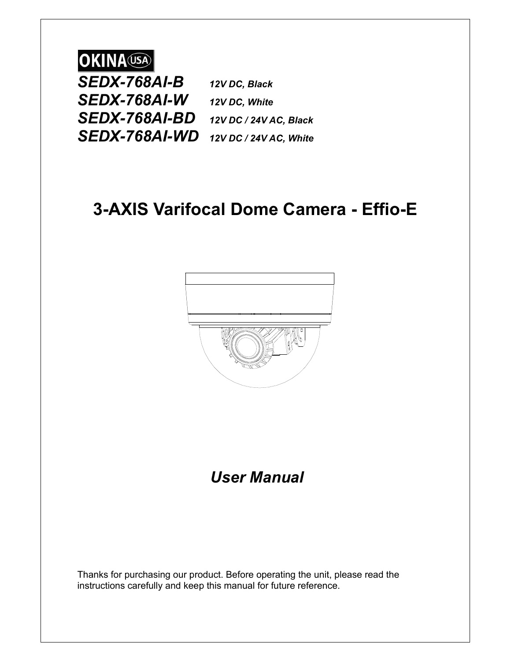# **OKINA** USA

*SEDX-768AI-B 12V DC, Black SEDX-768AI-W 12V DC, White SEDX-768AI-BD 12V DC / 24V AC, Black SEDX-768AI-WD 12V DC / 24V AC, White*

# **3-AXIS Varifocal Dome Camera - Effio-E**



# *User Manual*

Thanks for purchasing our product. Before operating the unit, please read the instructions carefully and keep this manual for future reference.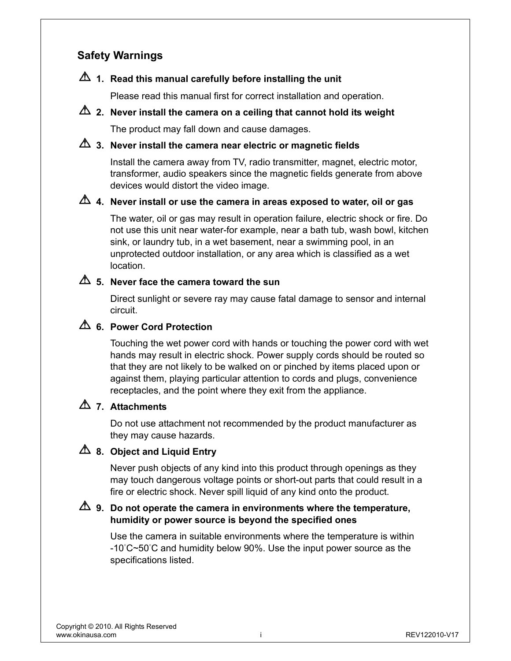## **Safety Warnings**

## **1. Read this manual carefully before installing the unit**

Please read this manual first for correct installation and operation.

## **2.** Never install the camera on a ceiling that cannot hold its weight

The product may fall down and cause damages.

## **3. Never install the camera near electric or magnetic fields**

Install the camera away from TV, radio transmitter, magnet, electric motor, transformer, audio speakers since the magnetic fields generate from above devices would distort the video image.

### **4. Never install or use the camera in areas exposed to water, oil or gas**

The water, oil or gas may result in operation failure, electric shock or fire. Do not use this unit near water-for example, near a bath tub, wash bowl, kitchen sink, or laundry tub, in a wet basement, near a swimming pool, in an unprotected outdoor installation, or any area which is classified as a wet location.

## **5. Never face the camera toward the sun**

Direct sunlight or severe ray may cause fatal damage to sensor and internal circuit.

### **6. Power Cord Protection**

Touching the wet power cord with hands or touching the power cord with wet hands may result in electric shock. Power supply cords should be routed so that they are not likely to be walked on or pinched by items placed upon or against them, playing particular attention to cords and plugs, convenience receptacles, and the point where they exit from the appliance.

## **7. Attachments**

Do not use attachment not recommended by the product manufacturer as they may cause hazards.

### **4.** 8. Object and Liquid Entry

Never push objects of any kind into this product through openings as they may touch dangerous voltage points or short-out parts that could result in a fire or electric shock. Never spill liquid of any kind onto the product.

### **9. Do not operate the camera in environments where the temperature, humidity or power source is beyond the specified ones**

Use the camera in suitable environments where the temperature is within -10°C~50°C and humidity below 90%. Use the input power source as the specifications listed.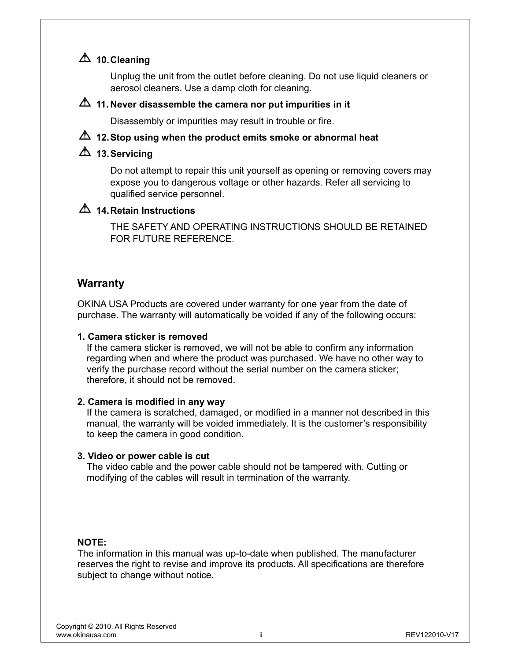## **10. Cleaning**

Unplug the unit from the outlet before cleaning. Do not use liquid cleaners or aerosol cleaners. Use a damp cloth for cleaning.

#### **11. Never disassemble the camera nor put impurities in it**

Disassembly or impurities may result in trouble or fire.

## **12. Stop using when the product emits smoke or abnormal heat**

# **13. Servicing**

Do not attempt to repair this unit yourself as opening or removing covers may expose you to dangerous voltage or other hazards. Refer all servicing to qualified service personnel.

## **14. Retain Instructions**

THE SAFETY AND OPERATING INSTRUCTIONS SHOULD BE RETAINED FOR FUTURE REFERENCE.

## **Warranty**

OKINA USA Products are covered under warranty for one year from the date of purchase. The warranty will automatically be voided if any of the following occurs:

#### **1. Camera sticker is removed**

 If the camera sticker is removed, we will not be able to confirm any information regarding when and where the product was purchased. We have no other way to verify the purchase record without the serial number on the camera sticker; therefore, it should not be removed.

#### **2. Camera is modified in any way**

 If the camera is scratched, damaged, or modified in a manner not described in this manual, the warranty will be voided immediately. It is the customer's responsibility to keep the camera in good condition.

#### **3. Video or power cable is cut**

The video cable and the power cable should not be tampered with. Cutting or modifying of the cables will result in termination of the warranty.

#### **NOTE:**

The information in this manual was up-to-date when published. The manufacturer reserves the right to revise and improve its products. All specifications are therefore subject to change without notice.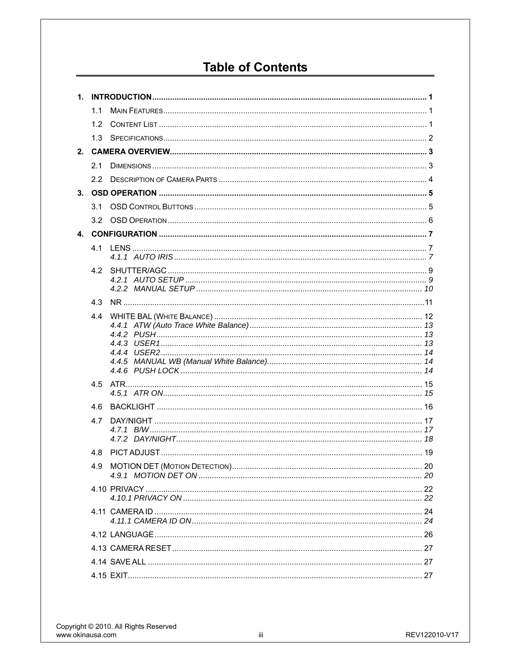# **Table of Contents**

|                | 1.1              |  |  |
|----------------|------------------|--|--|
|                | 1.2 <sub>1</sub> |  |  |
|                | 1.3              |  |  |
| 2 <sup>1</sup> |                  |  |  |
|                | 2.1              |  |  |
|                | 2.2              |  |  |
|                |                  |  |  |
|                | 3.1              |  |  |
|                |                  |  |  |
|                |                  |  |  |
|                | 41               |  |  |
|                |                  |  |  |
|                |                  |  |  |
|                |                  |  |  |
|                | 4.3              |  |  |
|                |                  |  |  |
|                |                  |  |  |
|                |                  |  |  |
|                |                  |  |  |
|                |                  |  |  |
|                | 4.5              |  |  |
|                |                  |  |  |
|                | 4.6              |  |  |
|                | 4.7              |  |  |
|                |                  |  |  |
|                | 4.8              |  |  |
|                |                  |  |  |
|                |                  |  |  |
|                |                  |  |  |
|                |                  |  |  |
|                |                  |  |  |
|                |                  |  |  |
|                |                  |  |  |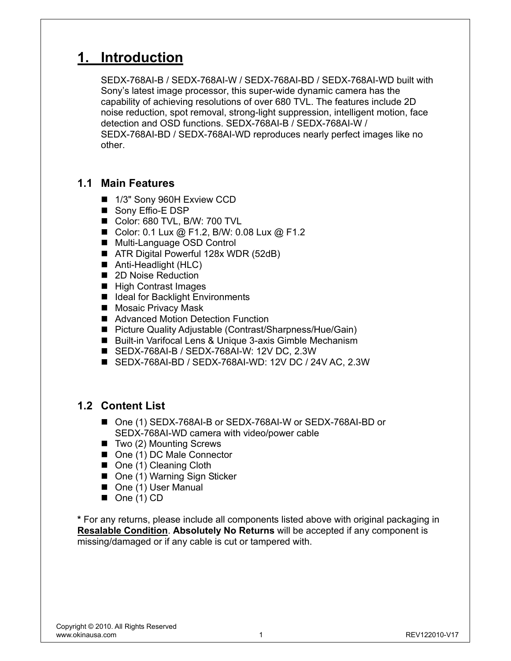# **1. Introduction**

SEDX-768AI-B / SEDX-768AI-W / SEDX-768AI-BD / SEDX-768AI-WD built with Sony's latest image processor, this super-wide dynamic camera has the capability of achieving resolutions of over 680 TVL. The features include 2D noise reduction, spot removal, strong-light suppression, intelligent motion, face detection and OSD functions. SEDX-768AI-B / SEDX-768AI-W / SEDX-768AI-BD / SEDX-768AI-WD reproduces nearly perfect images like no other.

## **1.1 Main Features**

- 1/3" Sony 960H Exview CCD
- Sony Effio-E DSP
- Color: 680 TVL, B/W: 700 TVL
- Color: 0.1 Lux @ F1.2, B/W: 0.08 Lux @ F1.2
- Multi-Language OSD Control
- ATR Digital Powerful 128x WDR (52dB)
- Anti-Headlight (HLC)
- 2D Noise Reduction
- High Contrast Images
- Ideal for Backlight Environments
- Mosaic Privacy Mask
- Advanced Motion Detection Function
- Picture Quality Adjustable (Contrast/Sharpness/Hue/Gain)
- Built-in Varifocal Lens & Unique 3-axis Gimble Mechanism
- SEDX-768AI-B / SEDX-768AI-W: 12V DC, 2.3W
- SEDX-768AI-BD / SEDX-768AI-WD: 12V DC / 24V AC, 2.3W

## **1.2 Content List**

- One (1) SEDX-768AI-B or SEDX-768AI-W or SEDX-768AI-BD or SEDX-768AI-WD camera with video/power cable
- $\blacksquare$  Two (2) Mounting Screws
- One (1) DC Male Connector
- One (1) Cleaning Cloth
- One (1) Warning Sign Sticker
- One (1) User Manual
- $\blacksquare$  One (1) CD

**\*** For any returns, please include all components listed above with original packaging in **Resalable Condition**. **Absolutely No Returns** will be accepted if any component is missing/damaged or if any cable is cut or tampered with.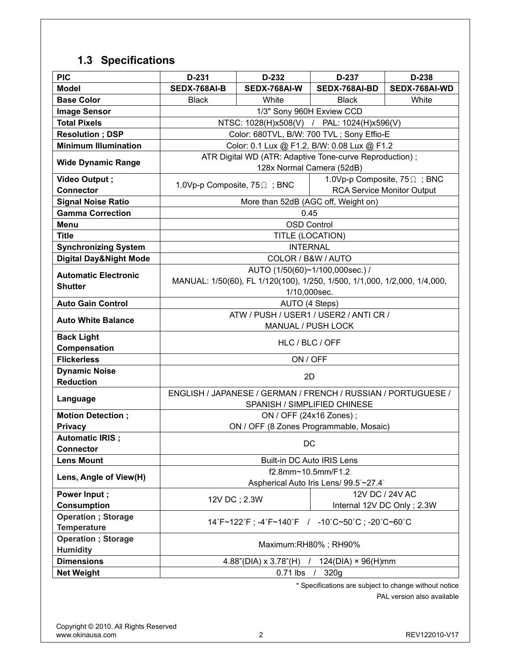# **1.3 Specifications**

| <b>PIC</b>                                       | D-231                                                                                                        | D-232                                                                                         | D-237           | D-238                             |  |
|--------------------------------------------------|--------------------------------------------------------------------------------------------------------------|-----------------------------------------------------------------------------------------------|-----------------|-----------------------------------|--|
| <b>Model</b>                                     | SEDX-768AI-B                                                                                                 | SEDX-768AI-W                                                                                  | SEDX-768AI-BD   | SEDX-768AI-WD                     |  |
| <b>Base Color</b>                                | <b>Black</b>                                                                                                 | White                                                                                         | <b>Black</b>    | White                             |  |
| <b>Image Sensor</b>                              |                                                                                                              | 1/3" Sony 960H Exview CCD                                                                     |                 |                                   |  |
| <b>Total Pixels</b>                              |                                                                                                              | NTSC: 1028(H)x508(V) / PAL: 1024(H)x596(V)                                                    |                 |                                   |  |
| <b>Resolution; DSP</b>                           |                                                                                                              | Color: 680TVL, B/W: 700 TVL; Sony Effio-E                                                     |                 |                                   |  |
| <b>Minimum Illumination</b>                      |                                                                                                              | Color: 0.1 Lux @ F1.2, B/W: 0.08 Lux @ F1.2                                                   |                 |                                   |  |
| <b>Wide Dynamic Range</b>                        |                                                                                                              | ATR Digital WD (ATR: Adaptive Tone-curve Reproduction);<br>128x Normal Camera (52dB)          |                 |                                   |  |
| Video Output;                                    | 1.0Vp-p Composite, $75\Omega$ ; BNC                                                                          |                                                                                               |                 | 1.0Vp-p Composite, 75 \; BNC      |  |
| <b>Connector</b>                                 |                                                                                                              |                                                                                               |                 | <b>RCA Service Monitor Output</b> |  |
| <b>Signal Noise Ratio</b>                        |                                                                                                              | More than 52dB (AGC off, Weight on)                                                           |                 |                                   |  |
| <b>Gamma Correction</b>                          |                                                                                                              | 0.45                                                                                          |                 |                                   |  |
| Menu                                             |                                                                                                              | <b>OSD Control</b>                                                                            |                 |                                   |  |
| <b>Title</b>                                     |                                                                                                              | TITLE (LOCATION)                                                                              |                 |                                   |  |
| <b>Synchronizing System</b>                      |                                                                                                              | <b>INTERNAL</b>                                                                               |                 |                                   |  |
| <b>Digital Day&amp;Night Mode</b>                |                                                                                                              | COLOR / B&W / AUTO                                                                            |                 |                                   |  |
| <b>Automatic Electronic</b><br><b>Shutter</b>    | AUTO (1/50(60)~1/100,000sec.) /<br>MANUAL: 1/50(60), FL 1/120(100), 1/250, 1/500, 1/1,000, 1/2,000, 1/4,000, |                                                                                               |                 |                                   |  |
| <b>Auto Gain Control</b>                         | 1/10,000sec.<br>AUTO (4 Steps)                                                                               |                                                                                               |                 |                                   |  |
|                                                  | ATW / PUSH / USER1 / USER2 / ANTI CR /                                                                       |                                                                                               |                 |                                   |  |
| <b>Auto White Balance</b>                        | MANUAL / PUSH LOCK                                                                                           |                                                                                               |                 |                                   |  |
| <b>Back Light</b><br>Compensation                |                                                                                                              | HLC / BLC / OFF                                                                               |                 |                                   |  |
| <b>Flickerless</b>                               |                                                                                                              | ON / OFF                                                                                      |                 |                                   |  |
| <b>Dynamic Noise</b>                             |                                                                                                              |                                                                                               |                 |                                   |  |
| <b>Reduction</b>                                 | 2D                                                                                                           |                                                                                               |                 |                                   |  |
| Language                                         |                                                                                                              | ENGLISH / JAPANESE / GERMAN / FRENCH / RUSSIAN / PORTUGUESE /<br>SPANISH / SIMPLIFIED CHINESE |                 |                                   |  |
| <b>Motion Detection;</b>                         |                                                                                                              | ON / OFF (24x16 Zones);                                                                       |                 |                                   |  |
| <b>Privacy</b>                                   | ON / OFF (8 Zones Programmable, Mosaic)                                                                      |                                                                                               |                 |                                   |  |
| <b>Automatic IRIS ;</b><br><b>Connector</b>      | DC                                                                                                           |                                                                                               |                 |                                   |  |
| <b>Lens Mount</b>                                | Built-in DC Auto IRIS Lens                                                                                   |                                                                                               |                 |                                   |  |
| Lens, Angle of View(H)                           | f2.8mm~10.5mm/F1.2<br>Aspherical Auto Iris Lens/ 99.5°~27.4°                                                 |                                                                                               |                 |                                   |  |
| Power Input;                                     | 12V DC; 2.3W                                                                                                 |                                                                                               | 12V DC / 24V AC |                                   |  |
| <b>Consumption</b>                               |                                                                                                              |                                                                                               |                 | Internal 12V DC Only; 2.3W        |  |
| <b>Operation</b> ; Storage<br><b>Temperature</b> | 14°F~122°F; -4°F~140°F / -10°C~50°C; -20°C~60°C                                                              |                                                                                               |                 |                                   |  |
| <b>Operation</b> ; Storage<br><b>Humidity</b>    | Maximum:RH80%; RH90%                                                                                         |                                                                                               |                 |                                   |  |
| <b>Dimensions</b>                                | $4.88$ "(DIA) x $3.78$ "(H)<br>$124(DIA) \times 96(H)$ mm                                                    |                                                                                               |                 |                                   |  |
| <b>Net Weight</b>                                | $0.71$ lbs /<br>320g                                                                                         |                                                                                               |                 |                                   |  |
|                                                  |                                                                                                              |                                                                                               |                 |                                   |  |

\* Specifications are subject to change without notice

PAL version also available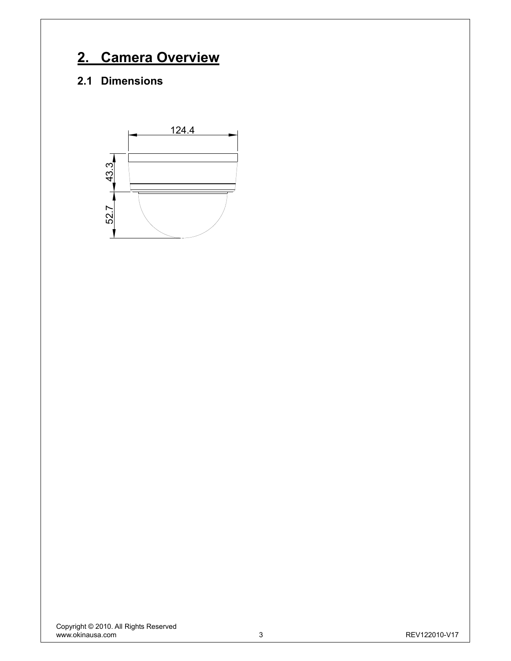# **2. Camera Overview**

# **2.1 Dimensions**

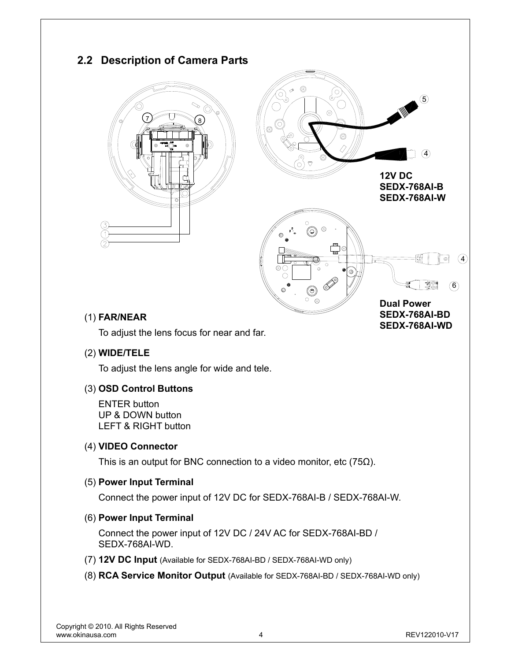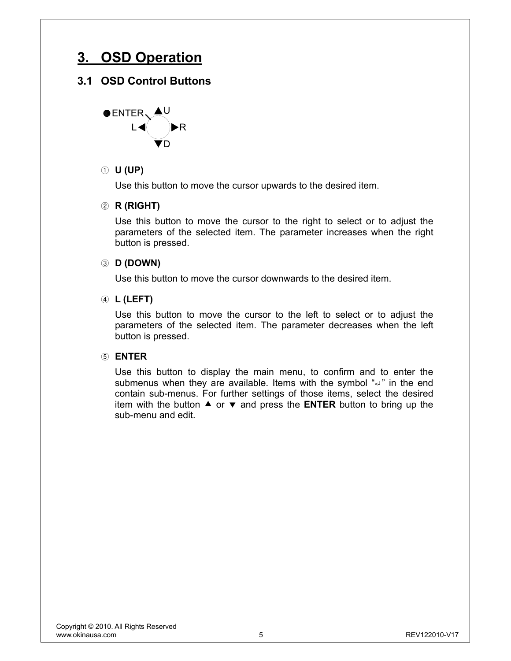# **3. OSD Operation**

## **3.1 OSD Control Buttons**



#### ① **U (UP)**

Use this button to move the cursor upwards to the desired item.

#### ② **R (RIGHT)**

Use this button to move the cursor to the right to select or to adjust the parameters of the selected item. The parameter increases when the right button is pressed.

#### ③ **D (DOWN)**

Use this button to move the cursor downwards to the desired item.

#### ④ **L (LEFT)**

Use this button to move the cursor to the left to select or to adjust the parameters of the selected item. The parameter decreases when the left button is pressed.

#### ⑤ **ENTER**

Use this button to display the main menu, to confirm and to enter the submenus when they are available. Items with the symbol "<" in the end contain sub-menus. For further settings of those items, select the desired item with the button  $\triangle$  or  $\blacktriangledown$  and press the **ENTER** button to bring up the sub-menu and edit.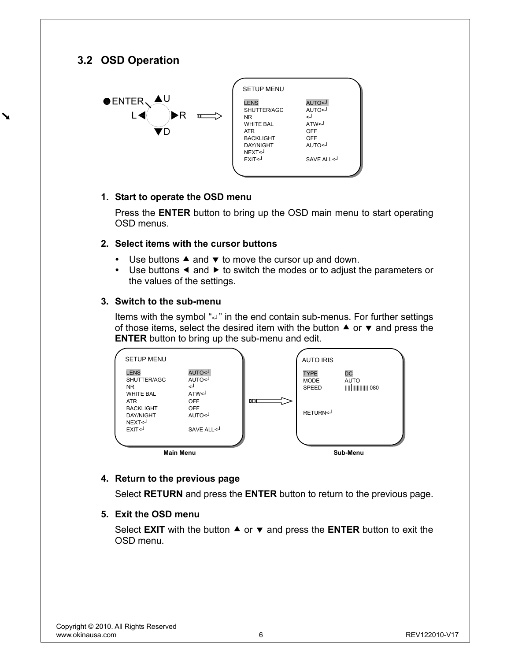## **3.2 OSD Operation**

 $\blacktriangleright$ 



| <b>SETUP MENU</b>                          |            |
|--------------------------------------------|------------|
|                                            |            |
| <b>LENS</b>                                | L>OTUA     |
| SHUTTER/AGC                                | L>OTUA     |
| NR                                         | لے         |
| <b>WHITE BAL</b>                           | ATW<       |
| <b>ATR</b>                                 | OFF        |
| <b>BACKLIGHT</b>                           | OFF        |
| <b>DAY/NIGHT</b>                           | L>OTLIA    |
| NEXT <j< td=""><td></td></j<>              |            |
| EXIT <j< td=""><td>SAVE ALL &lt;</td></j<> | SAVE ALL < |
|                                            |            |
|                                            |            |

#### **1. Start to operate the OSD menu**

Press the **ENTER** button to bring up the OSD main menu to start operating OSD menus.

#### **2. Select items with the cursor buttons**

- $\bullet$  Use buttons  $\blacktriangle$  and  $\blacktriangledown$  to move the cursor up and down.
- $\bullet$  Use buttons  $\blacktriangleleft$  and  $\blacktriangleright$  to switch the modes or to adjust the parameters or the values of the settings.

#### **3. Switch to the sub-menu**

Items with the symbol "<" in the end contain sub-menus. For further settings of those items, select the desired item with the button  $\blacktriangle$  or  $\blacktriangledown$  and press the **ENTER** button to bring up the sub-menu and edit.



#### **4. Return to the previous page**

Select **RETURN** and press the **ENTER** button to return to the previous page.

#### **5. Exit the OSD menu**

Select **EXIT** with the button  $\triangle$  or  $\triangledown$  and press the **ENTER** button to exit the OSD menu.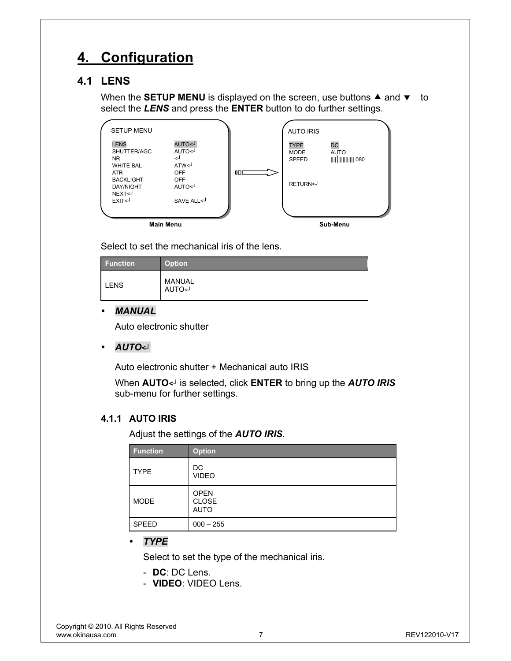# **4. Configuration**

## **4.1 LENS**

When the **SETUP MENU** is displayed on the screen, use buttons  $\triangle$  and  $\triangledown$  to select the *LENS* and press the **ENTER** button to do further settings.

|                                                       | <b>Main Menu</b>                                                       |    |                                            | Sub-Menu          |  |
|-------------------------------------------------------|------------------------------------------------------------------------|----|--------------------------------------------|-------------------|--|
|                                                       |                                                                        |    |                                            |                   |  |
| <b>DAY/NIGHT</b><br>NEXT <j<br>EXIT&lt;</j<br>        | L>OTUA<br>SAVE ALL <j< td=""><td></td><td></td><td></td><td></td></j<> |    |                                            |                   |  |
| ATR.<br><b>BACKLIGHT</b>                              | <b>OFF</b><br><b>OFF</b>                                               | 0D | RETURN <j< td=""><td></td><td></td></j<>   |                   |  |
| <b>LENS</b><br>SHUTTER/AGC<br>NR.<br><b>WHITE BAL</b> | L>OTUA<br>L>OTUA<br>لـ><br>ATW<                                        |    | <b>TYPE</b><br><b>MODE</b><br><b>SPEED</b> | DC<br><b>AUTO</b> |  |
| <b>SETUP MENU</b>                                     |                                                                        |    | <b>AUTO IRIS</b>                           |                   |  |

Select to set the mechanical iris of the lens.

| <b>Function</b> | <b>Option</b>    |
|-----------------|------------------|
| <b>LENS</b>     | MANUAL<br>L>OTUA |

#### y *MANUAL*

Auto electronic shutter

y *AUTO<┘*

Auto electronic shutter + Mechanical auto IRIS

When **AUTO***<┘* is selected, click **ENTER** to bring up the *AUTO IRIS* sub-menu for further settings.

#### **4.1.1 AUTO IRIS**

Adjust the settings of the *AUTO IRIS*.

| <b>Function</b> | <b>Option</b>                              |
|-----------------|--------------------------------------------|
| <b>TYPE</b>     | DC<br><b>VIDEO</b>                         |
| <b>MODE</b>     | <b>OPEN</b><br><b>CLOSE</b><br><b>AUTO</b> |
| <b>SPEED</b>    | $000 - 255$                                |

y *TYPE*

Select to set the type of the mechanical iris.

- **DC**: DC Lens.
- **VIDEO**: VIDEO Lens.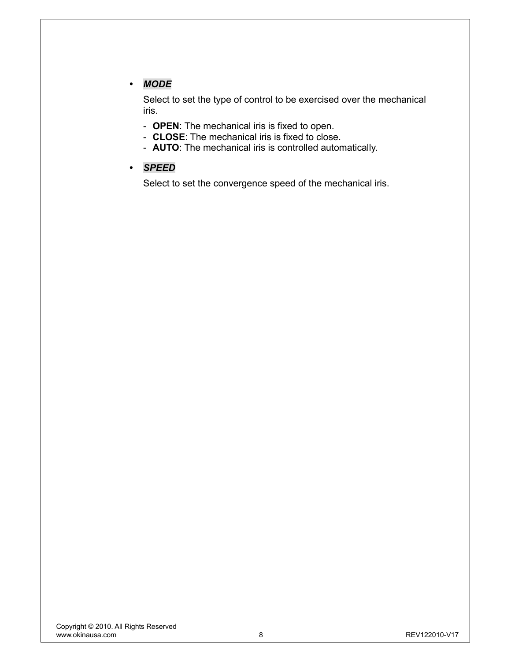## y *MODE*

Select to set the type of control to be exercised over the mechanical iris.

- **OPEN**: The mechanical iris is fixed to open.
- **CLOSE**: The mechanical iris is fixed to close.
- **AUTO**: The mechanical iris is controlled automatically.
- y *SPEED*

Select to set the convergence speed of the mechanical iris.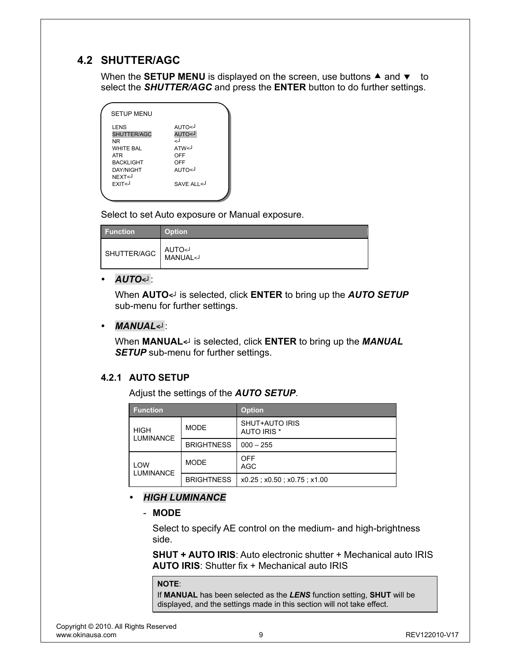## **4.2 SHUTTER/AGC**

When the **SETUP MENU** is displayed on the screen, use buttons  $\triangle$  and  $\blacktriangledown$  to select the *SHUTTER/AGC* and press the **ENTER** button to do further settings.

| <b>SETUP MENU</b>                                                                                                                                                                                                                                |                                                                       |
|--------------------------------------------------------------------------------------------------------------------------------------------------------------------------------------------------------------------------------------------------|-----------------------------------------------------------------------|
| LENS<br>SHUTTER/AGC<br><b>NR</b><br><b>WHITE BAL</b><br><b>ATR</b><br><b>BACKLIGHT</b><br>DAY/NIGHT<br>NFXT <j<br>EXIT<j< th=""><th>L&gt;OTUA<br/>L&gt;OTUA<br/>لے<br/>ATW&lt;<br/>OFF<br/>OFF<br/>L&gt;OTIJA<br/>SAVE ALL &lt;</th></j<></j<br> | L>OTUA<br>L>OTUA<br>لے<br>ATW<<br>OFF<br>OFF<br>L>OTIJA<br>SAVE ALL < |
|                                                                                                                                                                                                                                                  |                                                                       |

Select to set Auto exposure or Manual exposure.

| <b>Function</b> | <b>Option</b>          |
|-----------------|------------------------|
| SHUTTER/AGC     | MANUAL <j< td=""></j<> |

#### y *AUTO<┘*:

When **AUTO***<┘* is selected, click **ENTER** to bring up the *AUTO SETUP* sub-menu for further settings.

#### y *MANUAL<┘*:

When **MANUAL***<┘* is selected, click **ENTER** to bring up the *MANUAL*  **SETUP** sub-menu for further settings.

#### **4.2.1 AUTO SETUP**

Adjust the settings of the *AUTO SETUP*.

| <b>Function</b>                 |                   | <b>Option</b>                        |
|---------------------------------|-------------------|--------------------------------------|
| <b>HIGH</b><br><b>LUMINANCE</b> | <b>MODE</b>       | SHUT+AUTO IRIS<br><b>AUTO IRIS *</b> |
|                                 | <b>BRIGHTNESS</b> | $000 - 255$                          |
| LOW<br><b>LUMINANCE</b>         | <b>MODE</b>       | <b>OFF</b><br><b>AGC</b>             |
|                                 | <b>BRIGHTNESS</b> | x0.25; x0.50; x0.75; x1.00           |

#### y *HIGH LUMINANCE*

- **MODE**

Select to specify AE control on the medium- and high-brightness side.

**SHUT + AUTO IRIS**: Auto electronic shutter + Mechanical auto IRIS **AUTO IRIS**: Shutter fix + Mechanical auto IRIS

#### **NOTE**:

If **MANUAL** has been selected as the *LENS* function setting, **SHUT** will be displayed, and the settings made in this section will not take effect.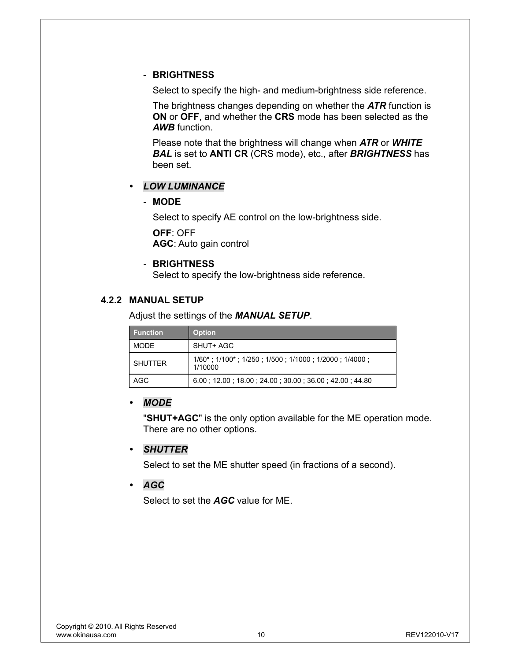#### - **BRIGHTNESS**

Select to specify the high- and medium-brightness side reference.

The brightness changes depending on whether the *ATR* function is **ON** or **OFF**, and whether the **CRS** mode has been selected as the *AWB* function.

Please note that the brightness will change when *ATR* or *WHITE BAL* is set to **ANTI CR** (CRS mode), etc., after *BRIGHTNESS* has been set.

#### y *LOW LUMINANCE*

#### - **MODE**

Select to specify AE control on the low-brightness side. **OFF**: OFF **AGC**: Auto gain control

#### - **BRIGHTNESS**

Select to specify the low-brightness side reference.

#### **4.2.2 MANUAL SETUP**

Adjust the settings of the *MANUAL SETUP*.

| <b>Function</b> | <b>Option</b>                                                                          |
|-----------------|----------------------------------------------------------------------------------------|
| <b>MODE</b>     | SHUT+ AGC                                                                              |
| <b>SHUTTER</b>  | $1/60^*$ ; $1/100^*$ ; $1/250$ ; $1/500$ ; $1/1000$ ; $1/2000$ ; $1/4000$ ;<br>1/10000 |
| AGC             | 6.00 12.00 18.00 24.00 30.00 36.00 42.00 44.80                                         |

#### y *MODE*

"**SHUT+AGC**" is the only option available for the ME operation mode. There are no other options.

#### y *SHUTTER*

Select to set the ME shutter speed (in fractions of a second).

#### y *AGC*

Select to set the *AGC* value for ME.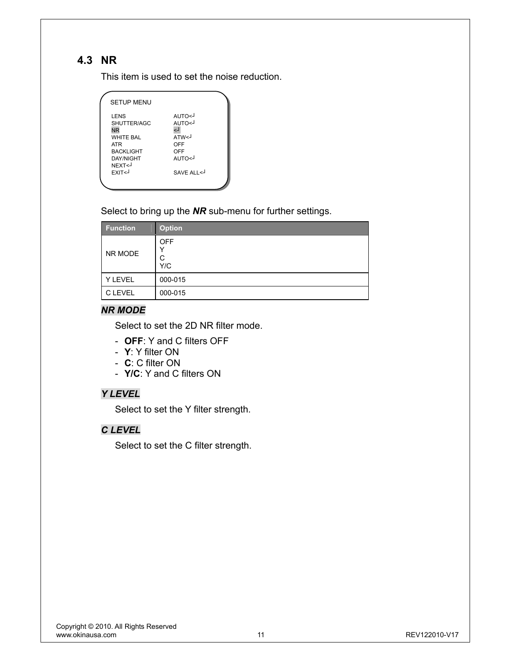## **4.3 NR**

This item is used to set the noise reduction.

| <b>SETUP MENU</b>                                                                                                                                                                                                                                             |                                                                      |
|---------------------------------------------------------------------------------------------------------------------------------------------------------------------------------------------------------------------------------------------------------------|----------------------------------------------------------------------|
| <b>LENS</b><br>SHUTTER/AGC<br><b>NR</b><br><b>WHITF RAI</b><br><b>ATR</b><br><b>BACKLIGHT</b><br><b>DAY/NIGHT</b><br>NEXT <j<br>EXIT<j< th=""><th>L&gt;OTUA<br/>L&gt;OTUA<br/>لہ<br/>ATW&lt;<br/>OFF<br/>OFF<br/>L&gt;OTUA<br/>SAVE ALL &lt;</th></j<></j<br> | L>OTUA<br>L>OTUA<br>لہ<br>ATW<<br>OFF<br>OFF<br>L>OTUA<br>SAVE ALL < |
|                                                                                                                                                                                                                                                               |                                                                      |

Select to bring up the *NR* sub-menu for further settings.

| <b>Function</b> | <b>Option</b>          |
|-----------------|------------------------|
| NR MODE         | <b>OFF</b><br>C<br>Y/C |
| Y LEVEL         | 000-015                |
| C LEVEL         | 000-015                |

#### *NR MODE*

Select to set the 2D NR filter mode.

- **OFF**: Y and C filters OFF
- **Y**: Y filter ON
- **C**: C filter ON
- **Y/C**: Y and C filters ON

#### *Y LEVEL*

Select to set the Y filter strength.

## *C LEVEL*

Select to set the C filter strength.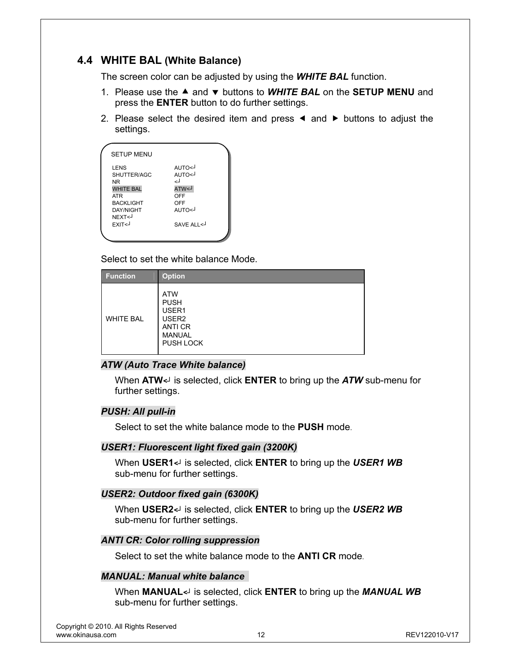## **4.4 WHITE BAL (White Balance)**

The screen color can be adjusted by using the *WHITE BAL* function.

- 1. Please use the ▲ and v buttons to **WHITE BAL** on the **SETUP MENU** and press the **ENTER** button to do further settings.
- 2. Please select the desired item and press  $\triangleleft$  and  $\triangleright$  buttons to adjust the settings.

| <b>SETUP MENU</b>                                                                                                                        |                                                                       |
|------------------------------------------------------------------------------------------------------------------------------------------|-----------------------------------------------------------------------|
| LENS<br>SHUTTER/AGC<br><b>NR</b><br><b>WHITE BAL</b><br><b>ATR</b><br><b>BACKLIGHT</b><br><b>DAY/NIGHT</b><br>NFXT <j<br>FXIT&lt;</j<br> | L>OTUA<br>L>OTUA<br>لے<br>L>WTA<br>OFF<br>OFF<br>L>OTLIA<br>SAVE ALL< |
|                                                                                                                                          |                                                                       |

Select to set the white balance Mode.

| <b>Function</b>  | <b>Option</b>                                                                                                  |
|------------------|----------------------------------------------------------------------------------------------------------------|
| <b>WHITE BAL</b> | <b>ATW</b><br><b>PUSH</b><br>USER1<br>USER <sub>2</sub><br><b>ANTI CR</b><br><b>MANUAL</b><br><b>PUSH LOCK</b> |

#### *ATW (Auto Trace White balance)*

When **ATW***<┘* is selected, click **ENTER** to bring up the *ATW* sub-menu for further settings.

#### *PUSH: All pull-in*

Select to set the white balance mode to the **PUSH** mode.

#### *USER1: Fluorescent light fixed gain (3200K)*

When **USER1***<┘* is selected, click **ENTER** to bring up the *USER1 WB* sub-menu for further settings.

#### *USER2: Outdoor fixed gain (6300K)*

When **USER2***<┘* is selected, click **ENTER** to bring up the *USER2 WB* sub-menu for further settings.

#### *ANTI CR: Color rolling suppression*

Select to set the white balance mode to the **ANTI CR** mode.

#### *MANUAL: Manual white balance*

When **MANUAL***<┘* is selected, click **ENTER** to bring up the *MANUAL WB* sub-menu for further settings.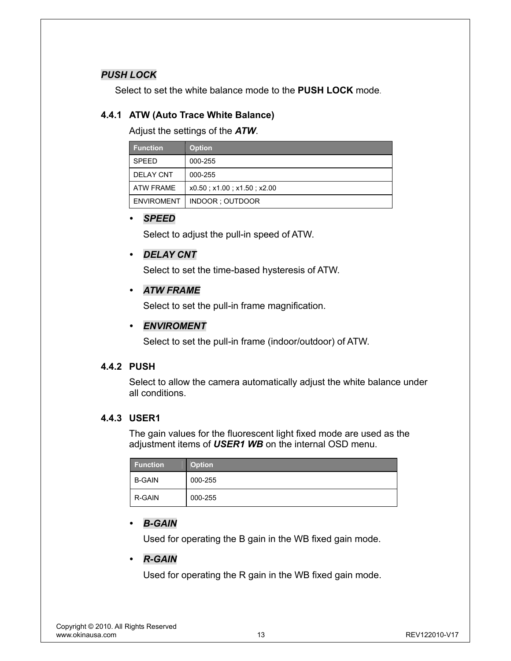#### *PUSH LOCK*

Select to set the white balance mode to the **PUSH LOCK** mode.

#### **4.4.1 ATW (Auto Trace White Balance)**

Adjust the settings of the *ATW*.

| <b>Function</b>   | <b>Option</b>              |
|-------------------|----------------------------|
| <b>SPEED</b>      | 000-255                    |
| <b>DELAY CNT</b>  | 000-255                    |
| ATW FRAME         | x0.50; x1.00; x1.50; x2.00 |
| <b>ENVIROMENT</b> | INDOOR ; OUTDOOR           |

#### y *SPEED*

Select to adjust the pull-in speed of ATW.

#### y *DELAY CNT*

Select to set the time-based hysteresis of ATW.

#### y *ATW FRAME*

Select to set the pull-in frame magnification.

#### y *ENVIROMENT*

Select to set the pull-in frame (indoor/outdoor) of ATW.

#### **4.4.2 PUSH**

Select to allow the camera automatically adjust the white balance under all conditions.

#### **4.4.3 USER1**

The gain values for the fluorescent light fixed mode are used as the adjustment items of *USER1 WB* on the internal OSD menu.

| <b>Function</b> | <b>Option</b> |
|-----------------|---------------|
| <b>B-GAIN</b>   | 000-255       |
| R-GAIN          | 000-255       |

#### y *B-GAIN*

Used for operating the B gain in the WB fixed gain mode.

#### y *R-GAIN*

Used for operating the R gain in the WB fixed gain mode.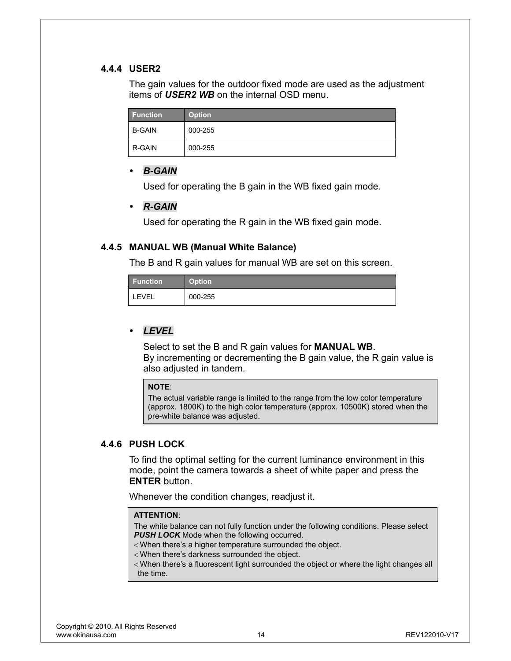#### **4.4.4 USER2**

The gain values for the outdoor fixed mode are used as the adjustment items of *USER2 WB* on the internal OSD menu.

| <b>Function</b> | <b>Option</b> |
|-----------------|---------------|
| <b>B-GAIN</b>   | 000-255       |
| R-GAIN          | 000-255       |

#### y *B-GAIN*

Used for operating the B gain in the WB fixed gain mode.

#### y *R-GAIN*

Used for operating the R gain in the WB fixed gain mode.

#### **4.4.5 MANUAL WB (Manual White Balance)**

The B and R gain values for manual WB are set on this screen.

| <b>Function</b> | <b>Option</b> |
|-----------------|---------------|
| <b>LEVEL</b>    | 000-255       |

#### y *LEVEL*

Select to set the B and R gain values for **MANUAL WB**. By incrementing or decrementing the B gain value, the R gain value is also adjusted in tandem.

#### **NOTE**:

The actual variable range is limited to the range from the low color temperature (approx. 1800K) to the high color temperature (approx. 10500K) stored when the pre-white balance was adjusted.

#### **4.4.6 PUSH LOCK**

To find the optimal setting for the current luminance environment in this mode, point the camera towards a sheet of white paper and press the **ENTER** button.

Whenever the condition changes, readjust it.

#### **ATTENTION**:

The white balance can not fully function under the following conditions. Please select **PUSH LOCK** Mode when the following occurred.

- < When there's a higher temperature surrounded the object.
- < When there's darkness surrounded the object.
- < When there's a fluorescent light surrounded the object or where the light changes all the time.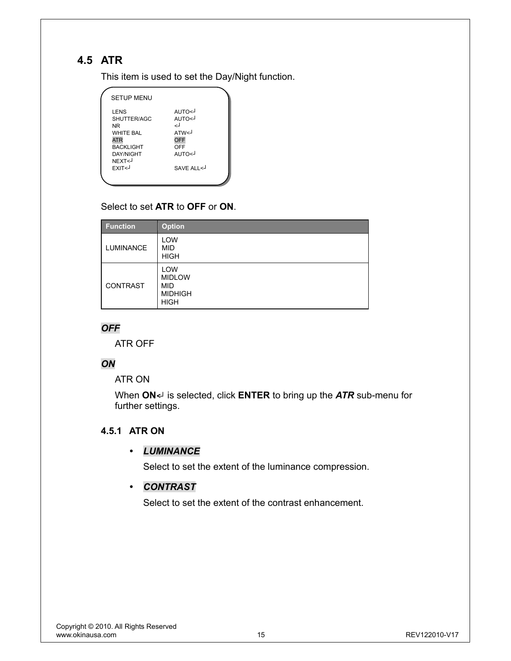# **4.5 ATR**

This item is used to set the Day/Night function.

| <b>SETUP MENU</b>                                                                                                                                                                                                                                                      |                                                                                 |  |
|------------------------------------------------------------------------------------------------------------------------------------------------------------------------------------------------------------------------------------------------------------------------|---------------------------------------------------------------------------------|--|
| LENS<br>SHUTTER/AGC<br><b>NR</b><br><b>WHITE BAL</b><br><b>ATR</b><br><b>BACKLIGHT</b><br><b>DAY/NIGHT</b><br>NEXT <j<br>EXIT<j< th=""><th>L&gt;OTUA<br/>AUTO&lt;<br/>لە<br/>ATW<sub>1</sub><br/>OFF<br/>OFF<br/>L&gt;OTLIA<br/>SAVE ALL&lt;</th><th></th></j<></j<br> | L>OTUA<br>AUTO<<br>لە<br>ATW <sub>1</sub><br>OFF<br>OFF<br>L>OTLIA<br>SAVE ALL< |  |
|                                                                                                                                                                                                                                                                        |                                                                                 |  |

## Select to set **ATR** to **OFF** or **ON**.

| <b>Function</b>  | <b>Option</b>                                                              |
|------------------|----------------------------------------------------------------------------|
| <b>LUMINANCE</b> | LOW<br><b>MID</b><br><b>HIGH</b>                                           |
| CONTRAST         | <b>LOW</b><br><b>MIDLOW</b><br><b>MID</b><br><b>MIDHIGH</b><br><b>HIGH</b> |

### *OFF*

ATR OFF

#### *ON*

ATR ON

When **ON***<┘* is selected, click **ENTER** to bring up the *ATR* sub-menu for further settings.

#### **4.5.1 ATR ON**

#### y *LUMINANCE*

Select to set the extent of the luminance compression.

#### y *CONTRAST*

Select to set the extent of the contrast enhancement.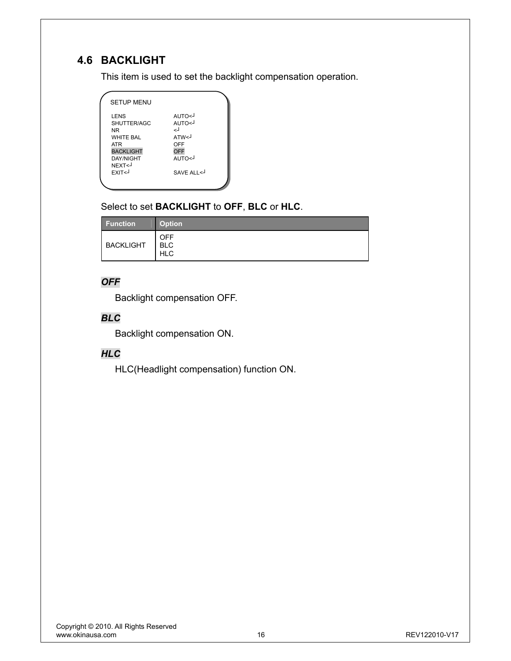# **4.6 BACKLIGHT**

This item is used to set the backlight compensation operation.

| <b>SETUP MENU</b>                                                                                 |                                            |  |
|---------------------------------------------------------------------------------------------------|--------------------------------------------|--|
| <b>LENS</b><br>SHUTTER/AGC<br>ΝR<br>WHITE BAL                                                     | L>OTUA<br>L>OTUA<br>لے<br>ATW<             |  |
| <b>ATR</b><br><b>BACKLIGHT</b><br><b>DAY/NIGHT</b><br>NEXT <j<br><b>FXIT<j< b=""></j<></b></j<br> | OFF<br><b>OFF</b><br>L>OTIJA<br>SAVE ALL < |  |
|                                                                                                   |                                            |  |

## Select to set **BACKLIGHT** to **OFF**, **BLC** or **HLC**.

| <b>Function</b>  | <b>Option</b>                          |
|------------------|----------------------------------------|
| <b>BACKLIGHT</b> | <b>OFF</b><br><b>BLC</b><br><b>HLC</b> |

## *OFF*

Backlight compensation OFF.

## *BLC*

Backlight compensation ON.

## *HLC*

HLC(Headlight compensation) function ON.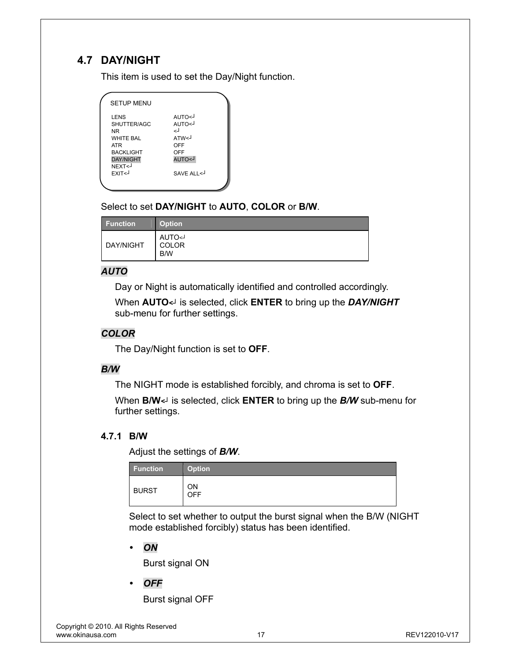# **4.7 DAY/NIGHT**

This item is used to set the Day/Night function.

| <b>SETUP MENU</b>                                                                                                                                  |                                                                                  |  |
|----------------------------------------------------------------------------------------------------------------------------------------------------|----------------------------------------------------------------------------------|--|
| LENS<br>SHUTTER/AGC<br>NR<br><b>WHITE BAI</b><br><b>ATR</b><br><b>BACKLIGHT</b><br><b>DAY/NIGHT</b><br>NEXT <j<br><b>FXIT<j< b=""></j<></b></j<br> | L>OTUA<br>L>OTUA<br>لە<br>ATW <sub>1</sub><br>OFF<br>OFF<br>L>OTUA<br>SAVE ALL < |  |
|                                                                                                                                                    |                                                                                  |  |

### Select to set **DAY/NIGHT** to **AUTO**, **COLOR** or **B/W**.

| <b>Function</b> | <b>Option</b>               |
|-----------------|-----------------------------|
| DAY/NIGHT       | <b>AUTO</b><br>COLOR<br>B/W |

#### *AUTO*

Day or Night is automatically identified and controlled accordingly.

When **AUTO***<┘* is selected, click **ENTER** to bring up the *DAY/NIGHT* sub-menu for further settings.

#### *COLOR*

The Day/Night function is set to **OFF**.

#### *B/W*

The NIGHT mode is established forcibly, and chroma is set to **OFF**.

When **B/W***<┘* is selected, click **ENTER** to bring up the *B/W* sub-menu for further settings.

#### **4.7.1 B/W**

Adjust the settings of *B/W*.

| <b>Function</b> | <b>Option</b> |
|-----------------|---------------|
| <b>BURST</b>    | ΟN<br>OFF     |

Select to set whether to output the burst signal when the B/W (NIGHT mode established forcibly) status has been identified.

y *ON* 

Burst signal ON

y *OFF* 

Burst signal OFF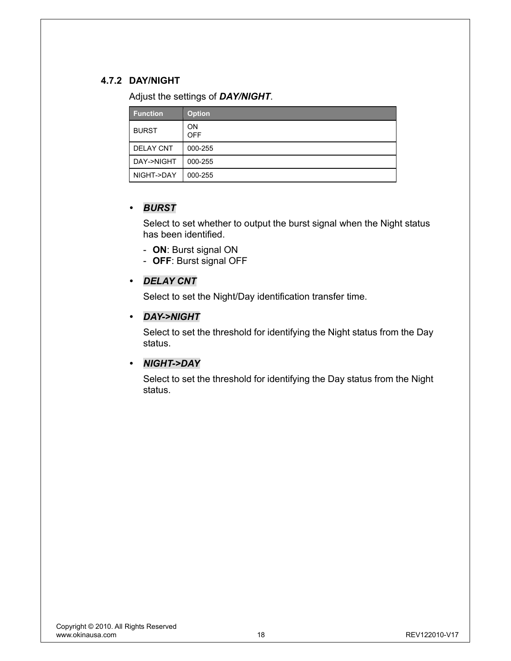### **4.7.2 DAY/NIGHT**

Adjust the settings of *DAY/NIGHT*.

| <b>Function</b>  | <b>Option</b>           |
|------------------|-------------------------|
| <b>BURST</b>     | <b>ON</b><br><b>OFF</b> |
| <b>DELAY CNT</b> | 000-255                 |
| DAY->NIGHT       | 000-255                 |
| NIGHT->DAY       | 000-255                 |

#### y *BURST*

Select to set whether to output the burst signal when the Night status has been identified.

- **ON**: Burst signal ON
- **OFF**: Burst signal OFF

#### y *DELAY CNT*

Select to set the Night/Day identification transfer time.

#### y *DAY->NIGHT*

Select to set the threshold for identifying the Night status from the Day status.

#### y *NIGHT->DAY*

Select to set the threshold for identifying the Day status from the Night status.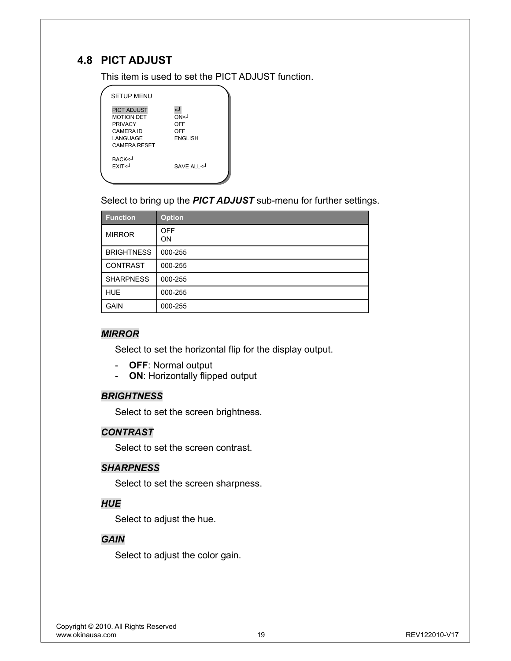## **4.8 PICT ADJUST**

This item is used to set the PICT ADJUST function.

| <b>SETUP MENU</b>                                                                                         |                                            |
|-----------------------------------------------------------------------------------------------------------|--------------------------------------------|
| <b>PICT ADJUST</b><br><b>MOTION DET</b><br><b>PRIVACY</b><br>CAMERA ID<br>LANGUAGE<br><b>CAMERA RESET</b> | ل><br>∩N<⊦<br>OFF<br>OFF<br><b>ENGLISH</b> |
| BACK<-<br>EXIT <j< th=""><th>SAVE ALL &lt;</th></j<>                                                      | SAVE ALL <                                 |

Select to bring up the *PICT ADJUST* sub-menu for further settings.

| <b>Function</b>   | <b>Option</b>    |
|-------------------|------------------|
| <b>MIRROR</b>     | <b>OFF</b><br>ON |
| <b>BRIGHTNESS</b> | 000-255          |
| <b>CONTRAST</b>   | 000-255          |
| <b>SHARPNESS</b>  | 000-255          |
| <b>HUE</b>        | 000-255          |
| <b>GAIN</b>       | 000-255          |

#### *MIRROR*

Select to set the horizontal flip for the display output.

- **OFF**: Normal output
- **ON**: Horizontally flipped output

#### *BRIGHTNESS*

Select to set the screen brightness.

#### *CONTRAST*

Select to set the screen contrast.

#### *SHARPNESS*

Select to set the screen sharpness.

#### *HUE*

Select to adjust the hue.

#### *GAIN*

Select to adjust the color gain.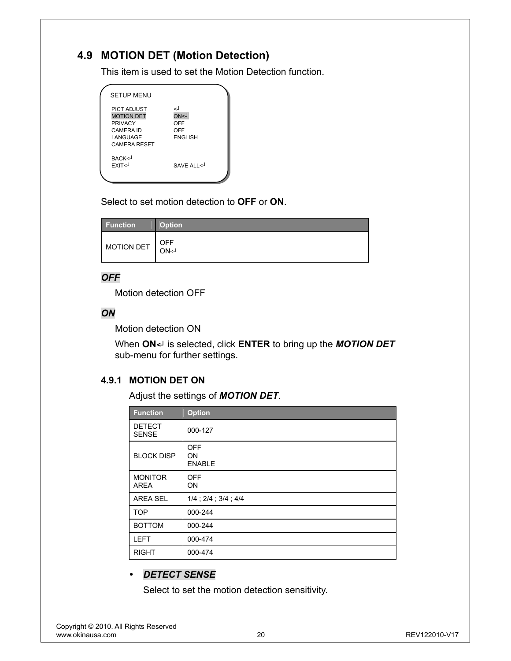## **4.9 MOTION DET (Motion Detection)**

This item is used to set the Motion Detection function.

| <b>SETUP MENU</b>                                                                                         |                                                      |
|-----------------------------------------------------------------------------------------------------------|------------------------------------------------------|
| <b>PICT ADJUST</b><br><b>MOTION DET</b><br><b>PRIVACY</b><br>CAMERA ID<br>LANGUAGE<br><b>CAMERA RESET</b> | لے<br><b>ON&lt;1</b><br>OFF<br>OFF<br><b>ENGLISH</b> |
| BACK<-<br>EXIT <j< td=""><td>SAVE ALL &lt;</td></j<>                                                      | SAVE ALL <                                           |

Select to set motion detection to **OFF** or **ON**.

| <b>Function</b> | <b>Option</b> |
|-----------------|---------------|
| MOTION DET      | OFF<br>ON<1   |

#### *OFF*

Motion detection OFF

#### *ON*

Motion detection ON

When **ON***<┘* is selected, click **ENTER** to bring up the *MOTION DET* sub-menu for further settings.

#### **4.9.1 MOTION DET ON**

Adjust the settings of *MOTION DET*.

| <b>Function</b>               | <b>Option</b>                     |
|-------------------------------|-----------------------------------|
| <b>DETECT</b><br><b>SENSE</b> | 000-127                           |
| <b>BLOCK DISP</b>             | OFF<br><b>ON</b><br><b>ENABLE</b> |
| <b>MONITOR</b><br><b>AREA</b> | <b>OFF</b><br><b>ON</b>           |
| <b>AREA SEL</b>               | $1/4$ ; $2/4$ ; $3/4$ ; $4/4$     |
| <b>TOP</b>                    | 000-244                           |
| <b>BOTTOM</b>                 | 000-244                           |
| <b>LEFT</b>                   | 000-474                           |
| <b>RIGHT</b>                  | 000-474                           |

## y *DETECT SENSE*

Select to set the motion detection sensitivity.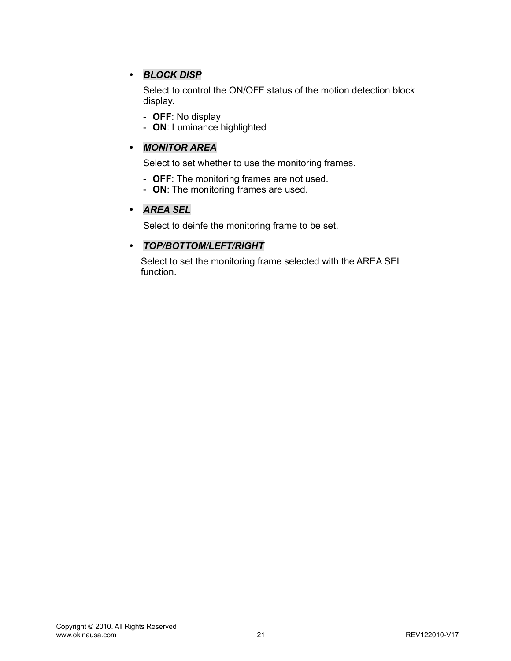### y *BLOCK DISP*

Select to control the ON/OFF status of the motion detection block display.

- **OFF**: No display
- **ON**: Luminance highlighted

#### y *MONITOR AREA*

Select to set whether to use the monitoring frames.

- **OFF**: The monitoring frames are not used.
- **ON**: The monitoring frames are used.

#### y *AREA SEL*

Select to deinfe the monitoring frame to be set.

#### y *TOP/BOTTOM/LEFT/RIGHT*

Select to set the monitoring frame selected with the AREA SEL function.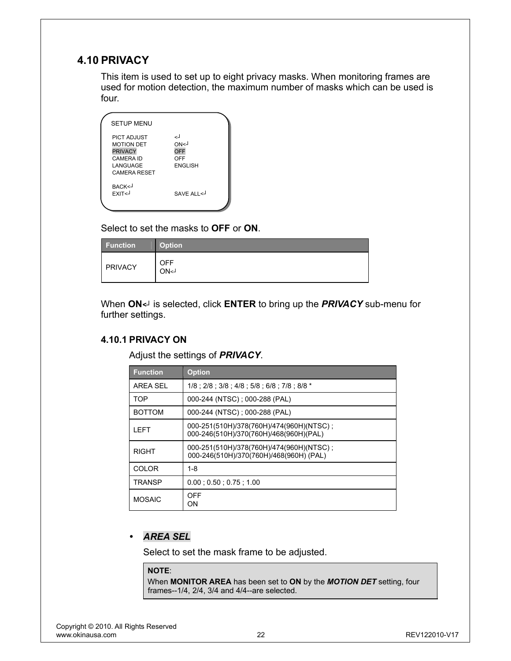## **4.10 PRIVACY**

This item is used to set up to eight privacy masks. When monitoring frames are used for motion detection, the maximum number of masks which can be used is four.

| <b>SETUP MENU</b>                                                                         |                                             |
|-------------------------------------------------------------------------------------------|---------------------------------------------|
| <b>PICT ADJUST</b><br><b>MOTION DET</b><br><b>PRIVACY</b><br><b>CAMERA ID</b><br>LANGUAGE | لے<br>ON<1<br>OFF<br>OFF<br><b>FNGI ISH</b> |
| CAMERA RESET<br>BACK <j<br><b>FXIT<j< b=""></j<></b></j<br>                               | SAVE ALL <                                  |
|                                                                                           |                                             |

Select to set the masks to **OFF** or **ON**.

| <b>Function</b> | <b>Option</b>      |
|-----------------|--------------------|
| PRIVACY         | <b>OFF</b><br>ON<1 |

When **ON***<┘* is selected, click **ENTER** to bring up the *PRIVACY* sub-menu for further settings.

#### **4.10.1 PRIVACY ON**

Adjust the settings of *PRIVACY*.

| <b>Function</b> | <b>Option</b>                                                                       |
|-----------------|-------------------------------------------------------------------------------------|
| AREA SEL        | 1/8 : 2/8 : 3/8 : 4/8 : 5/8 : 6/8 : 7/8 : 8/8 *                                     |
| <b>TOP</b>      | 000-244 (NTSC); 000-288 (PAL)                                                       |
| <b>BOTTOM</b>   | 000-244 (NTSC); 000-288 (PAL)                                                       |
| I FFT           | 000-251(510H)/378(760H)/474(960H)(NTSC);<br>000-246(510H)/370(760H)/468(960H)(PAL)  |
| RIGHT           | 000-251(510H)/378(760H)/474(960H)(NTSC);<br>000-246(510H)/370(760H)/468(960H) (PAL) |
| <b>COLOR</b>    | 1-8                                                                                 |
| TRANSP          | $0.00$ ; $0.50$ ; $0.75$ ; $1.00$                                                   |
| <b>MOSAIC</b>   | OFF<br>ON                                                                           |

### y *AREA SEL*

Select to set the mask frame to be adjusted.

#### **NOTE**:

When **MONITOR AREA** has been set to **ON** by the *MOTION DET* setting, four frames--1/4, 2/4, 3/4 and 4/4--are selected.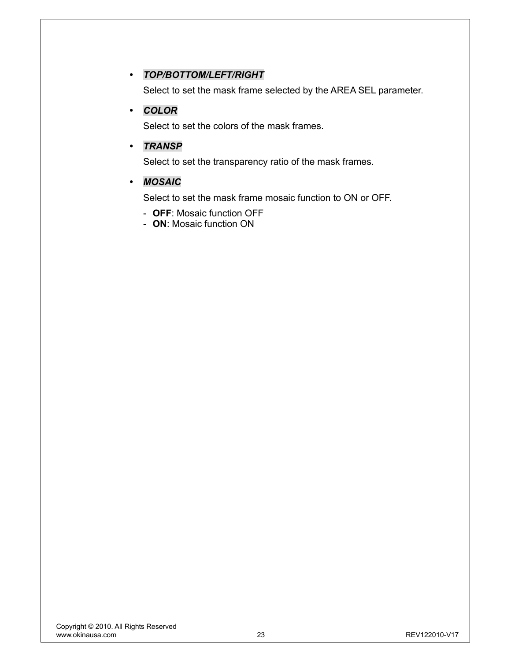#### y *TOP/BOTTOM/LEFT/RIGHT*

Select to set the mask frame selected by the AREA SEL parameter.

#### y *COLOR*

Select to set the colors of the mask frames.

#### y *TRANSP*

Select to set the transparency ratio of the mask frames.

#### y *MOSAIC*

Select to set the mask frame mosaic function to ON or OFF.

- **OFF**: Mosaic function OFF
- **ON**: Mosaic function ON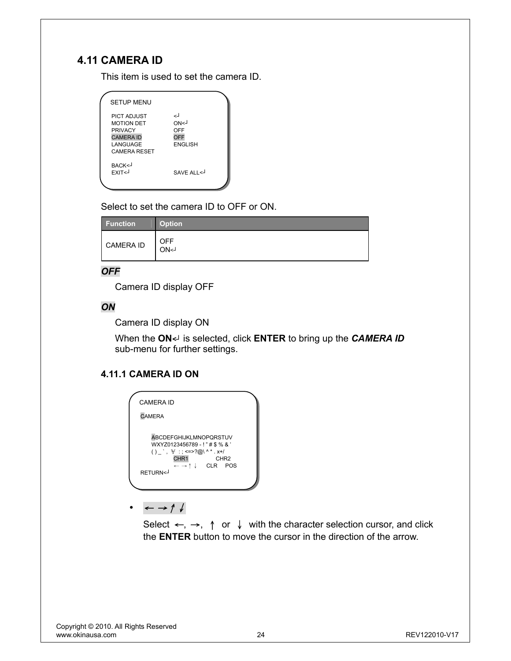## **4.11 CAMERA ID**

This item is used to set the camera ID.

| <b>SETUP MENU</b>                                                                                                |                                                   |
|------------------------------------------------------------------------------------------------------------------|---------------------------------------------------|
| <b>PICT ADJUST</b><br><b>MOTION DET</b><br><b>PRIVACY</b><br><b>CAMERA ID</b><br>LANGUAGE<br><b>CAMERA RESET</b> | اے<br>ON<1<br>OFF<br><b>OFF</b><br><b>ENGLISH</b> |
| BACK <j<br>FXIT&lt;</j<br>                                                                                       | SAVE ALL <                                        |

Select to set the camera ID to OFF or ON.

| <b>Function</b>  | <b>Option</b> |
|------------------|---------------|
| <b>CAMERA ID</b> | OFF<br>ON<1   |

#### *OFF*

Camera ID display OFF

#### *ON*

Camera ID display ON

When the **ON***<┘* is selected, click **ENTER** to bring up the *CAMERA ID* sub-menu for further settings.

### **4.11.1 CAMERA ID ON**

| CAMFRA ID                                                                                                                                                                                                               |
|-------------------------------------------------------------------------------------------------------------------------------------------------------------------------------------------------------------------------|
| <b>CAMERA</b>                                                                                                                                                                                                           |
| ABCDEFGHIJKLMNOPQRSTUV<br>WXYZ0123456789 - ! " # \$ % & '<br>() , $\frac{1}{2}$ : =>?@\^*.x+/<br>CHR <sub>1</sub><br>CHR <sub>2</sub><br>$\leftarrow \rightarrow \uparrow \downarrow$ CLR POS<br>RETURN <j< td=""></j<> |

y <sup>←</sup> →↑↓

Select  $\leftarrow$ ,  $\rightarrow$ ,  $\uparrow$  or  $\downarrow$  with the character selection cursor, and click the **ENTER** button to move the cursor in the direction of the arrow.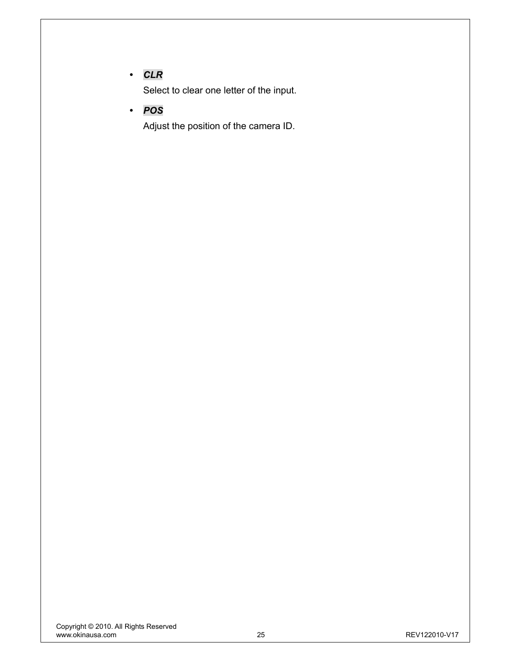## y *CLR*

Select to clear one letter of the input.

y *POS* 

Adjust the position of the camera ID.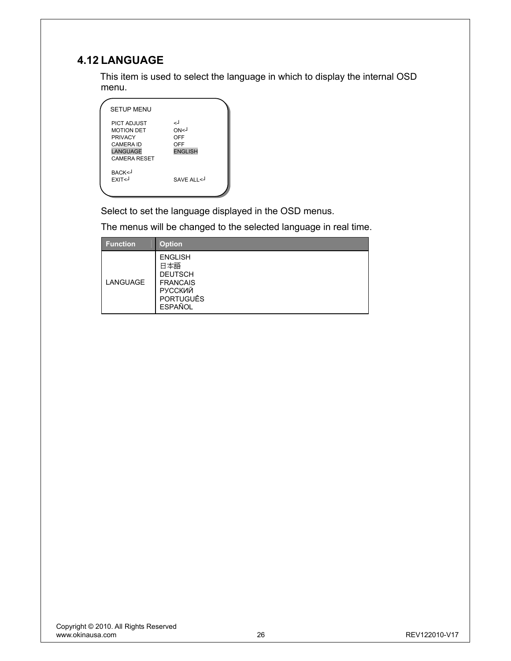## **4.12 LANGUAGE**

This item is used to select the language in which to display the internal OSD menu.

| <b>SETUP MENU</b>                                                                                                       |                                            |
|-------------------------------------------------------------------------------------------------------------------------|--------------------------------------------|
| <b>PICT ADJUST</b><br><b>MOTION DET</b><br><b>PRIVACY</b><br><b>CAMERA ID</b><br><b>LANGUAGE</b><br><b>CAMERA RESET</b> | لے<br>ON<1<br>OFF<br>OFF<br><b>ENGLISH</b> |
| BACK <j<br>EXIT<j< th=""><th>SAVE ALL&lt;</th></j<></j<br>                                                              | SAVE ALL<                                  |

Select to set the language displayed in the OSD menus.

The menus will be changed to the selected language in real time.

| <b>Function</b> | <b>Option</b>                                                                                                      |
|-----------------|--------------------------------------------------------------------------------------------------------------------|
| LANGUAGE        | <b>ENGLISH</b><br>日本語<br><b>DEUTSCH</b><br><b>FRANCAIS</b><br><b>РУССКИЙ</b><br><b>PORTUGUÊS</b><br><b>ESPAÑOL</b> |